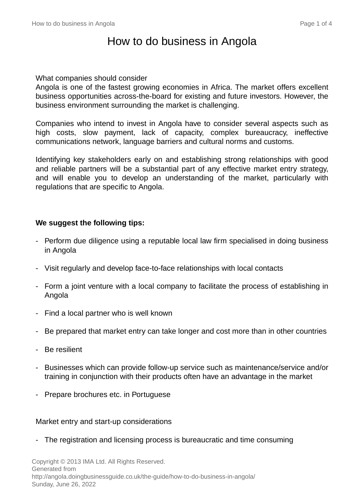# How to do business in Angola

#### What companies should consider

Angola is one of the fastest growing economies in Africa. The market offers excellent business opportunities across-the-board for existing and future investors. However, the business environment surrounding the market is challenging.

Companies who intend to invest in Angola have to consider several aspects such as high costs, slow payment, lack of capacity, complex bureaucracy, ineffective communications network, language barriers and cultural norms and customs.

Identifying key stakeholders early on and establishing strong relationships with good and reliable partners will be a substantial part of any effective market entry strategy, and will enable you to develop an understanding of the market, particularly with regulations that are specific to Angola.

### **We suggest the following tips:**

- Perform due diligence using a reputable local law firm specialised in doing business in Angola
- Visit regularly and develop face-to-face relationships with local contacts
- Form a joint venture with a local company to facilitate the process of establishing in Angola
- Find a local partner who is well known
- Be prepared that market entry can take longer and cost more than in other countries
- Be resilient
- Businesses which can provide follow-up service such as maintenance/service and/or training in conjunction with their products often have an advantage in the market
- Prepare brochures etc. in Portuguese

#### Market entry and start-up considerations

- The registration and licensing process is bureaucratic and time consuming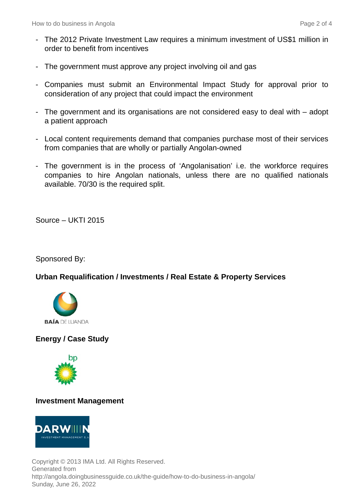- The 2012 Private Investment Law requires a minimum investment of US\$1 million in order to benefit from incentives
- The government must approve any project involving oil and gas
- Companies must submit an Environmental Impact Study for approval prior to consideration of any project that could impact the environment
- The government and its organisations are not considered easy to deal with adopt a patient approach
- Local content requirements demand that companies purchase most of their services from companies that are wholly or partially Angolan-owned
- The government is in the process of 'Angolanisation' i.e. the workforce requires companies to hire Angolan nationals, unless there are no qualified nationals available. 70/30 is the required split.

Source – UKTI 2015

Sponsored By:

### **Urban Requalification / Investments / Real Estate & Property Services**



## **Energy / Case Study**



### **Investment Management**



Copyright © 2013 IMA Ltd. All Rights Reserved. Generated from http://angola.doingbusinessguide.co.uk/the-guide/how-to-do-business-in-angola/ Sunday, June 26, 2022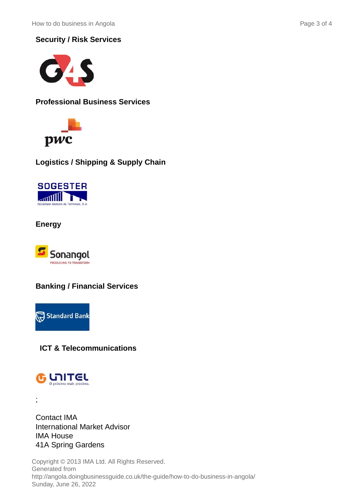## **Security / Risk Services**



**Professional Business Services**



**Logistics / Shipping & Supply Chain**



**Energy**



## **Banking / Financial Services**



**ICT & Telecommunications**



;

Contact IMA International Market Advisor IMA House 41A Spring Gardens

Copyright © 2013 IMA Ltd. All Rights Reserved. Generated from http://angola.doingbusinessguide.co.uk/the-guide/how-to-do-business-in-angola/ Sunday, June 26, 2022